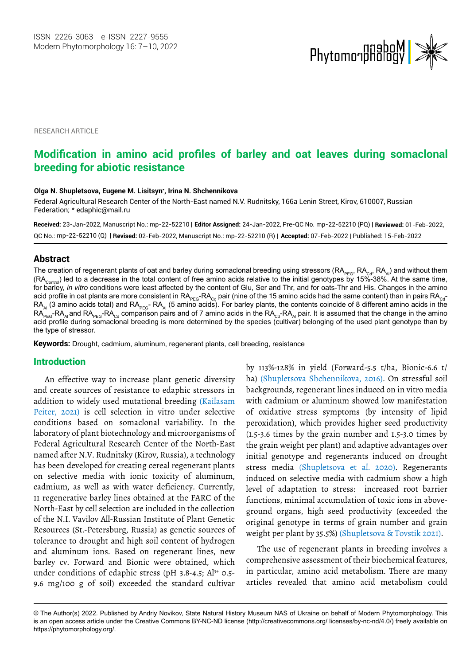

RESEARCH ARTICLE

# **Modification in amino acid profiles of barley and oat leaves during somaclonal breeding for abiotic resistance**

#### **Olga N. Shupletsova, Eugene M. Lisitsyn\* , Irina N. Shchennikova**

Federal Agricultural Research Center of the North-East named N.V. Rudnitsky, 166a Lenin Street, Kirov, 610007, Russian Federation; \* [edaphic@mail.ru](mailto:edaphic@mail.ru)

**Received:** 23-Jan-2022, Manuscript No.: mp-22-52210 | **Editor Assigned:** 24-Jan-2022, Pre-QC No. mp-22-52210 (PQ) | **Reviewed:** 01-Feb-2022, QC No.: mp-22-52210 (Q) | **Revised:** 02-Feb-2022, Manuscript No.: mp-22-52210 (R) | **Accepted:** 07-Feb-2022 | Published: 15-Feb-2022

## **Abstract**

The creation of regenerant plants of oat and barley during somaclonal breeding using stressors (RA<sub>PEG</sub>, RA<sub>Cd</sub>, RA<sub>Al</sub>) and without them  $(RA_{\text{control}})$  led to a decrease in the total content of free amino acids relative to the initial genotypes by 15%-38%. At the same time, for barley, *in vitro* conditions were least affected by the content of Glu, Ser and Thr, and for oats-Thr and His. Changes in the amino acid profile in oat plants are more consistent in  $RA_{PEG}$ -RA<sub>cd</sub> pair (nine of the 15 amino acids had the same content) than in pairs RA<sub>cd</sub>-RA<sub>Al</sub> (3 amino acids total) and RA<sub>PEG</sub>- RA<sub>Al</sub> (5 amino acids). For barley plants, the contents coincide of 8 different amino acids in the  $\mathsf{RA}_\mathsf{PEC}\text{-}\mathsf{RA}_\mathsf{ALG}$  and  $\mathsf{RA}_\mathsf{Cd}$  comparison pairs and of 7 amino acids in the  $\mathsf{RA}_\mathsf{Cd}\text{-}\mathsf{RA}_\mathsf{Al}$  pair. It is assumed that the change in the amino acid profile during somaclonal breeding is more determined by the species (cultivar) belonging of the used plant genotype than by the type of stressor.

**Keywords:** Drought, cadmium, aluminum, regenerant plants, cell breeding, resistance

## Introduction

An effective way to increase plant genetic diversity and create sources of resistance to edaphic stressors in addition to widely used mutational breeding (Kailasam Peiter, 2021) is cell selection in vitro under selective conditions based on somaclonal variability. In the laboratory of plant biotechnology and microorganisms of Federal Agricultural Research Center of the North-East named after N.V. Rudnitsky (Kirov, Russia), a technology has been developed for creating cereal regenerant plants on selective media with ionic toxicity of aluminum, cadmium, as well as with water deficiency. Currently, 11 regenerative barley lines obtained at the FARC of the North-East by cell selection are included in the collection of the N.I. Vavilov All-Russian Institute of Plant Genetic Resources (St.-Petersburg, Russia) as genetic sources of tolerance to drought and high soil content of hydrogen and aluminum ions. Based on regenerant lines, new barley cv. Forward and Bionic were obtained, which under conditions of edaphic stress (pH  $3.8-4.5$ ; Al<sup>3+</sup> 0.5-9.6 mg/100 g of soil) exceeded the standard cultivar

by 113%-128% in yield (Forward-5.5 t/ha, Bionic-6.6 t/ ha) (Shupletsova Shchennikova, 2016). On stressful soil backgrounds, regenerant lines induced on in vitro media with cadmium or aluminum showed low manifestation of oxidative stress symptoms (by intensity of lipid peroxidation), which provides higher seed productivity (1.5-3.6 times by the grain number and 1.5-3.0 times by the grain weight per plant) and adaptive advantages over initial genotype and regenerants induced on drought stress media (Shupletsova et al. 2020). Regenerants induced on selective media with cadmium show a high level of adaptation to stress: increased root barrier functions, minimal accumulation of toxic ions in aboveground organs, high seed productivity (exceeded the original genotype in terms of grain number and grain weight per plant by 35.5%) (Shupletsova & Tovstik 2021).

The use of regenerant plants in breeding involves a comprehensive assessment of their biochemical features, in particular, amino acid metabolism. There are many articles revealed that amino acid metabolism could

<sup>©</sup> The Author(s) 2022. Published by Andriy Novikov, State Natural History Museum NAS of Ukraine on behalf of Modern Phytomorphology. This is an open access article under the Creative Commons BY-NC-ND license (http://creativecommons.org/ licenses/by-nc-nd/4.0/) freely available on https://phytomorphology.org/.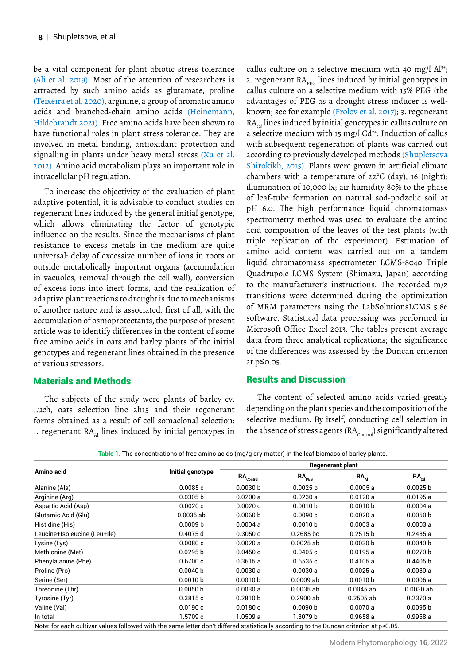be a vital component for plant abiotic stress tolerance (Ali et al. 2019). Most of the attention of researchers is attracted by such amino acids as glutamate, proline (Teixeira et al. 2020), arginine, a group of aromatic amino acids and branched-chain amino acids (Heinemann, Hildebrandt 2021). Free amino acids have been shown to have functional roles in plant stress tolerance. They are involved in metal binding, antioxidant protection and signalling in plants under heavy metal stress (Xu et al. 2012). Amino acid metabolism plays an important role in intracellular pH regulation.

To increase the objectivity of the evaluation of plant adaptive potential, it is advisable to conduct studies on regenerant lines induced by the general initial genotype, which allows eliminating the factor of genotypic influence on the results. Since the mechanisms of plant resistance to excess metals in the medium are quite universal: delay of excessive number of ions in roots or outside metabolically important organs (accumulation in vacuoles, removal through the cell wall), conversion of excess ions into inert forms, and the realization of adaptive plant reactions to drought is due to mechanisms of another nature and is associated, first of all, with the accumulation of osmoprotectants, the purpose of present article was to identify differences in the content of some free amino acids in oats and barley plants of the initial genotypes and regenerant lines obtained in the presence of various stressors.

## Materials and Methods

The subjects of the study were plants of barley cv. Luch, oats selection line 2h15 and their regenerant forms obtained as a result of cell somaclonal selection: 1. regenerant  $RA_{\lambda_1}$  lines induced by initial genotypes in callus culture on a selective medium with 40 mg/l  $Al^{3+}$ ; 2. regenerant  $RA_{pre}$  lines induced by initial genotypes in callus culture on a selective medium with 15% PEG (the advantages of PEG as a drought stress inducer is wellknown; see for example (Frolov et al. 2017); 3. regenerant  $RA<sub>cd</sub>$  lines induced by initial genotypes in callus culture on a selective medium with 15 mg/l  $Cd^{2+}$ . Induction of callus with subsequent regeneration of plants was carried out according to previously developed methods (Shupletsova Shirokikh, 2015). Plants were grown in artificial climate chambers with a temperature of 22°C (day), 16 (night); illumination of 10,000 lx; air humidity 80% to the phase of leaf-tube formation on natural sod-podzolic soil at pH 6.0. The high performance liquid chromatomass spectrometry method was used to evaluate the amino acid composition of the leaves of the test plants (with triple replication of the experiment). Estimation of amino acid content was carried out on a tandem liquid chromatomass spectrometer LCMS-8040 Triple Quadrupole LCMS System (Shimazu, Japan) according to the manufacturer's instructions. The recorded m/z transitions were determined during the optimization of MRM parameters using the LabSolutionsLCMS 5.86 software. Statistical data processing was performed in Microsoft Office Excel 2013. The tables present average data from three analytical replications; the significance of the differences was assessed by the Duncan criterion at p≤0.05.

## Results and Discussion

The content of selected amino acids varied greatly depending on the plant species and the composition of the selective medium. By itself, conducting cell selection in the absence of stress agents  $(RA_{\text{control}})$  significantly altered

|  |  |  |  |  | Table 1. The concentrations of free amino acids (mg/g dry matter) in the leaf biomass of barley plants. |
|--|--|--|--|--|---------------------------------------------------------------------------------------------------------|
|--|--|--|--|--|---------------------------------------------------------------------------------------------------------|

|                                                                                                                                        |                     | <b>Regenerant plant</b>          |                     |                     |             |  |
|----------------------------------------------------------------------------------------------------------------------------------------|---------------------|----------------------------------|---------------------|---------------------|-------------|--|
| Amino acid                                                                                                                             | Initial genotype    | $\mathsf{RA}_{\mathsf{Control}}$ | RA <sub>PEG</sub>   | RA <sub>Al</sub>    | $RA_{c,d}$  |  |
| Alanine (Ala)                                                                                                                          | 0.0085c             | 0.0030 b                         | 0.0025 b            | 0.0005a             | 0.0025 b    |  |
| Arginine (Arg)                                                                                                                         | 0.0305 b            | 0.0200a                          | 0.0230a             | 0.0120a             | 0.0195a     |  |
| Aspartic Acid (Asp)                                                                                                                    | 0.0020c             | 0.0020c                          | 0.0010 <sub>b</sub> | 0.0010 <sub>b</sub> | 0.0004a     |  |
| Glutamic Acid (Glu)                                                                                                                    | $0.0035$ ab         | 0.0060 b                         | 0.0090c             | 0.0020a             | 0.0050 b    |  |
| Histidine (His)                                                                                                                        | 0.0009 <sub>b</sub> | 0.0004a                          | 0.0010 <sub>b</sub> | 0.0003a             | 0.0003a     |  |
| Leucine+Isoleucine (Leu+Ile)                                                                                                           | 0.4075 d            | 0.3050c                          | $0.2685$ bc         | 0.2515 <sub>b</sub> | 0.2435a     |  |
| Lysine (Lys)                                                                                                                           | 0.0080c             | 0.0020a                          | $0.0025$ ab         | 0.0030 <sub>b</sub> | 0.0040 b    |  |
| Methionine (Met)                                                                                                                       | 0.0295 b            | 0.0450c                          | 0.0405c             | 0.0195a             | 0.0270 b    |  |
| Phenylalanine (Phe)                                                                                                                    | 0.6700c             | 0.3615a                          | 0.6535c             | 0.4105a             | 0.4405 b    |  |
| Proline (Pro)                                                                                                                          | 0.0040 b            | 0.0030a                          | 0.0030a             | 0.0025a             | 0.0030a     |  |
| Serine (Ser)                                                                                                                           | 0.0010 <sub>b</sub> | 0.0010 <sub>b</sub>              | $0.0009$ ab         | 0.0010 <sub>b</sub> | 0.0006a     |  |
| Threonine (Thr)                                                                                                                        | 0.0050 b            | 0.0030a                          | $0.0035$ ab         | $0.0045$ ab         | $0.0030$ ab |  |
| Tyrosine (Tyr)                                                                                                                         | 0.3815c             | 0.2810 <sub>b</sub>              | $0.2900$ ab         | $0.2505$ ab         | 0.2370a     |  |
| Valine (Val)                                                                                                                           | 0.0190c             | 0.0180c                          | 0.0090 <sub>b</sub> | 0.0070a             | 0.0095 b    |  |
| In total                                                                                                                               | 1.5709 c            | 1.0509a                          | 1.3079 b            | 0.9658a             | 0.9958a     |  |
| Note: for each cultivar values followed with the same letter don't differed statistically according to the Duncan criterion at p≤0.05. |                     |                                  |                     |                     |             |  |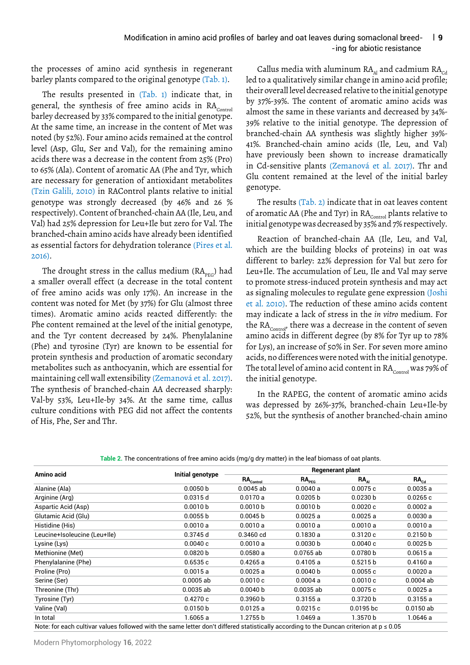#### | **9** - ing for abiotic resistance Modification in amino acid profiles of barley and oat leaves during somaclonal breed-

the processes of amino acid synthesis in regenerant barley plants compared to the original genotype (Tab. 1).

The results presented in (Tab. 1) indicate that, in general, the synthesis of free amino acids in  $RA<sub>Control</sub>$ barley decreased by 33% compared to the initial genotype. At the same time, an increase in the content of Met was noted (by 52%). Four amino acids remained at the control level (Asp, Glu, Ser and Val), for the remaining amino acids there was a decrease in the content from 25% (Pro) to 65% (Ala). Content of aromatic AA (Phe and Tyr, which are necessary for generation of antioxidant metabolites (Tzin Galili, 2010) in RAControl plants relative to initial genotype was strongly decreased (by 46% and 26 % respectively). Content of branched-chain AA (Ile, Leu, and Val) had 25% depression for Leu+Ile but zero for Val. The branched‐chain amino acids have already been identified as essential factors for dehydration tolerance (Pires et al. 2016).

The drought stress in the callus medium  $(RA<sub>preG</sub>)$  had a smaller overall effect (a decrease in the total content of free amino acids was only 17%). An increase in the content was noted for Met (by 37%) for Glu (almost three times). Aromatic amino acids reacted differently: the Phe content remained at the level of the initial genotype, and the Tyr content decreased by 24%. Phenylalanine (Phe) and tyrosine (Tyr) are known to be essential for protein synthesis and production of aromatic secondary metabolites such as anthocyanin, which are essential for maintaining cell wall extensibility (Zemanová et al. 2017). The synthesis of branched-chain AA decreased sharply: Val-by 53%, Leu+Ile-by 34%. At the same time, callus culture conditions with PEG did not affect the contents of His, Phe, Ser and Thr.

Callus media with aluminum  $RA_{\text{at}}$  and cadmium  $RA_{\text{cd}}$ led to a qualitatively similar change in amino acid profile; their overall level decreased relative to the initial genotype by 37%-39%. The content of aromatic amino acids was almost the same in these variants and decreased by 34%- 39% relative to the initial genotype. The depression of branched-chain AA synthesis was slightly higher 39%- 41%. Branched-chain amino acids (Ile, Leu, and Val) have previously been shown to increase dramatically in Cd-sensitive plants (Zemanová et al. 2017). Thr and Glu content remained at the level of the initial barley genotype.

The results (Tab. 2) indicate that in oat leaves content of aromatic AA (Phe and Tyr) in  $\mathbb{R}\mathbf{A}_{_{\mathsf{Control}}}$  plants relative to initial genotype was decreased by 35% and 7% respectively.

Reaction of branched-chain AA (Ile, Leu, and Val, which are the building blocks of proteins) in oat was different to barley: 22% depression for Val but zero for Leu+Ile. The accumulation of Leu, Ile and Val may serve to promote stress-induced protein synthesis and may act as signaling molecules to regulate gene expression (Joshi et al. 2010). The reduction of these amino acids content may indicate a lack of stress in the *in vitro* medium. For the  $\text{RA}_{\text{Control}}$ , there was a decrease in the content of seven amino acids in different degree (by 8% for Tyr up to 78% for Lys), an increase of 50% in Ser. For seven more amino acids, no differences were noted with the initial genotype. The total level of amino acid content in  $\text{RA}_{\text{Control}}$  was 79% of the initial genotype.

In the RAPEG, the content of aromatic amino acids was depressed by 26%-37%, branched-chain Leu+Ile-by 52%, but the synthesis of another branched-chain amino

|                                                                                                                                             |                     | Regenerant plant               |                     |                     |                  |  |
|---------------------------------------------------------------------------------------------------------------------------------------------|---------------------|--------------------------------|---------------------|---------------------|------------------|--|
| Amino acid                                                                                                                                  | Initial genotype    | $\mathsf{RA}_{_{\sf Control}}$ | RA <sub>preG</sub>  | $RA_{\lambda}$      | RA <sub>cd</sub> |  |
| Alanine (Ala)                                                                                                                               | 0.0050 b            | $0.0045$ ab                    | 0.0040a             | 0.0075c             | 0.0035a          |  |
| Arginine (Arg)                                                                                                                              | 0.0315d             | 0.0170a                        | 0.0205 b            | 0.0230 b            | 0.0265c          |  |
| Aspartic Acid (Asp)                                                                                                                         | 0.0010 <sub>b</sub> | 0.0010 <sub>b</sub>            | 0.0010 <sub>b</sub> | 0.0020c             | 0.0002a          |  |
| Glutamic Acid (Glu)                                                                                                                         | 0.0055 b            | 0.0045 b                       | 0.0025a             | 0.0025a             | 0.0030a          |  |
| Histidine (His)                                                                                                                             | 0.0010a             | 0.0010a                        | 0.0010a             | 0.0010a             | 0.0010a          |  |
| Leucine+Isoleucine (Leu+Ile)                                                                                                                | 0.3745 d            | $0.3460$ cd                    | 0.1830a             | 0.3120c             | 0.2150 b         |  |
| Lysine (Lys)                                                                                                                                | 0.0040c             | 0.0010a                        | 0.0030 b            | 0.0040c             | 0.0025 b         |  |
| Methionine (Met)                                                                                                                            | 0.0820 b            | 0.0580a                        | $0.0765$ ab         | 0.0780 b            | 0.0615a          |  |
| Phenylalanine (Phe)                                                                                                                         | 0.6535c             | 0.4265a                        | 0.4105a             | 0.5215 <sub>b</sub> | 0.4160a          |  |
| Proline (Pro)                                                                                                                               | 0.0015a             | 0.0025a                        | 0.0040 b            | 0.0055c             | 0.0020a          |  |
| Serine (Ser)                                                                                                                                | $0.0005$ ab         | 0.0010c                        | 0.0004a             | 0.0010c             | $0.0004$ ab      |  |
| Threonine (Thr)                                                                                                                             | $0.0035$ ab         | 0.0040 b                       | $0.0035$ ab         | 0.0075c             | 0.0025a          |  |
| Tyrosine (Tyr)                                                                                                                              | 0.4270c             | 0.3960 b                       | 0.3155a             | 0.3720 b            | 0.3155a          |  |
| Valine (Val)                                                                                                                                | 0.0150 b            | 0.0125a                        | 0.0215c             | 0.0195 <sub>b</sub> | $0.0150$ ab      |  |
| In total                                                                                                                                    | 1.6065 a            | 1.2755 b                       | 1.0469a             | 1.3570b             | 1.0646 a         |  |
| Note: for each cultivar values followed with the same letter don't differed statistically according to the Duncan criterion at $p \le 0.05$ |                     |                                |                     |                     |                  |  |

**Table 2.** The concentrations of free amino acids (mg/g dry matter) in the leaf biomass of oat plants.